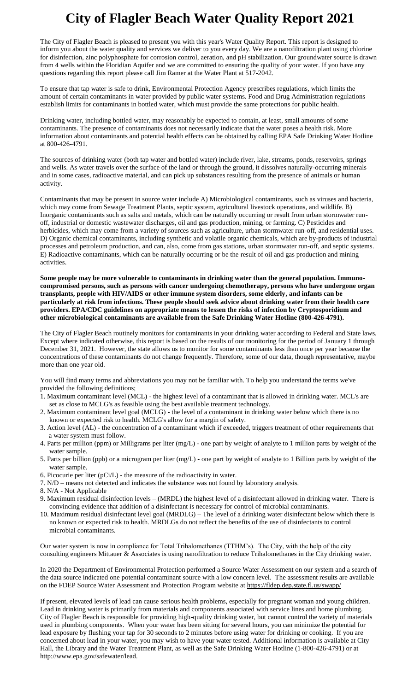## **City of Flagler Beach Water Quality Report 2021**

The City of Flagler Beach is pleased to present you with this year's Water Quality Report. This report is designed to inform you about the water quality and services we deliver to you every day. We are a nanofiltration plant using chlorine for disinfection, zinc polyphosphate for corrosion control, aeration, and pH stabilization. Our groundwater source is drawn from 4 wells within the Floridian Aquifer and we are committed to ensuring the quality of your water. If you have any questions regarding this report please call Jim Ramer at the Water Plant at 517-2042.

To ensure that tap water is safe to drink, Environmental Protection Agency prescribes regulations, which limits the amount of certain contaminants in water provided by public water systems. Food and Drug Administration regulations establish limits for contaminants in bottled water, which must provide the same protections for public health.

Drinking water, including bottled water, may reasonably be expected to contain, at least, small amounts of some contaminants. The presence of contaminants does not necessarily indicate that the water poses a health risk. More information about contaminants and potential health effects can be obtained by calling EPA Safe Drinking Water Hotline at 800-426-4791.

The sources of drinking water (both tap water and bottled water) include river, lake, streams, ponds, reservoirs, springs and wells. As water travels over the surface of the land or through the ground, it dissolves naturally-occurring minerals and in some cases, radioactive material, and can pick up substances resulting from the presence of animals or human activity.

Contaminants that may be present in source water include A) Microbiological contaminants, such as viruses and bacteria, which may come from Sewage Treatment Plants, septic system, agricultural livestock operations, and wildlife. B) Inorganic contaminants such as salts and metals, which can be naturally occurring or result from urban stormwater runoff, industrial or domestic wastewater discharges, oil and gas production, mining, or farming. C) Pesticides and herbicides, which may come from a variety of sources such as agriculture, urban stormwater run-off, and residential uses. D) Organic chemical contaminants, including synthetic and volatile organic chemicals, which are by-products of industrial processes and petroleum production, and can, also, come from gas stations, urban stormwater run-off, and septic systems. E) Radioactive contaminants, which can be naturally occurring or be the result of oil and gas production and mining activities.

**Some people may be more vulnerable to contaminants in drinking water than the general population. Immunocompromised persons, such as persons with cancer undergoing chemotherapy, persons who have undergone organ transplants, people with HIV/AIDS or other immune system disorders, some elderly, and infants can be particularly at risk from infections. These people should seek advice about drinking water from their health care providers. EPA/CDC guidelines on appropriate means to lessen the risks of infection by Cryptosporidium and other microbiological contaminants are available from the Safe Drinking Water Hotline (800-426-4791).**

The City of Flagler Beach routinely monitors for contaminants in your drinking water according to Federal and State laws. Except where indicated otherwise, this report is based on the results of our monitoring for the period of January 1 through December 31, 2021. However, the state allows us to monitor for some contaminants less than once per year because the concentrations of these contaminants do not change frequently. Therefore, some of our data, though representative, maybe more than one year old.

You will find many terms and abbreviations you may not be familiar with. To help you understand the terms we've provided the following definitions;

- 1. Maximum contaminant level (MCL) the highest level of a contaminant that is allowed in drinking water. MCL's are set as close to MCLG's as feasible using the best available treatment technology.
- 2. Maximum contaminant level goal (MCLG) the level of a contaminant in drinking water below which there is no known or expected risk to health. MCLG's allow for a margin of safety.
- 3. Action level (AL) the concentration of a contaminant which if exceeded, triggers treatment of other requirements that a water system must follow.
- 4. Parts per million (ppm) or Milligrams per liter (mg/L) one part by weight of analyte to 1 million parts by weight of the water sample.
- 5. Parts per billion (ppb) or a microgram per liter (mg/L) one part by weight of analyte to 1 Billion parts by weight of the water sample.
- 6. Picocurie per liter (pCi/L) the measure of the radioactivity in water.
- 7. N/D means not detected and indicates the substance was not found by laboratory analysis.
- 8. N/A Not Applicable
- 9. Maximum residual disinfection levels (MRDL) the highest level of a disinfectant allowed in drinking water. There is convincing evidence that addition of a disinfectant is necessary for control of microbial contaminants.
- 10. Maximum residual disinfectant level goal (MRDLG) The level of a drinking water disinfectant below which there is no known or expected risk to health. MRDLGs do not reflect the benefits of the use of disinfectants to control microbial contaminants.

Our water system is now in compliance for Total Trihalomethanes (TTHM's). The City, with the help of the city consulting engineers Mittauer & Associates is using nanofiltration to reduce Trihalomethanes in the City drinking water.

In 2020 the Department of Environmental Protection performed a Source Water Assessment on our system and a search of the data source indicated one potential contaminant source with a low concern level. The assessment results are available on the FDEP Source Water Assessment and Protection Program website at https://fldep.dep.state.fl.us/swapp/

If present, elevated levels of lead can cause serious health problems, especially for pregnant woman and young children. Lead in drinking water is primarily from materials and components associated with service lines and home plumbing. City of Flagler Beach is responsible for providing high-quality drinking water, but cannot control the variety of materials used in plumbing components. When your water has been sitting for several hours, you can minimize the potential for lead exposure by flushing your tap for 30 seconds to 2 minutes before using water for drinking or cooking. If you are concerned about lead in your water, you may wish to have your water tested. Additional information is available at City Hall, the Library and the Water Treatment Plant, as well as the Safe Drinking Water Hotline (1-800-426-4791) or at http://www.epa.gov/safewater/lead.